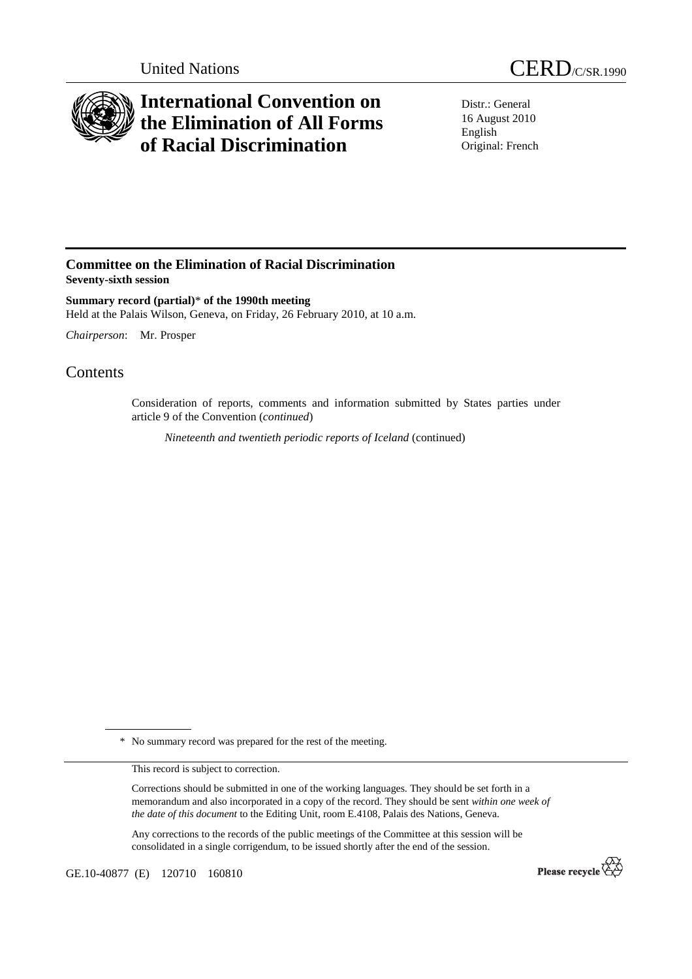



## **International Convention on the Elimination of All Forms of Racial Discrimination**

Distr.: General 16 August 2010 English Original: French

## **Committee on the Elimination of Racial Discrimination Seventy-sixth session**

**Summary record (partial)**\* **of the 1990th meeting**  Held at the Palais Wilson, Geneva, on Friday, 26 February 2010, at 10 a.m.

*Chairperson*: Mr. Prosper

## **Contents**

Consideration of reports, comments and information submitted by States parties under article 9 of the Convention (*continued*)

 *Nineteenth and twentieth periodic reports of Iceland* (continued)

\* No summary record was prepared for the rest of the meeting.

This record is subject to correction.

Corrections should be submitted in one of the working languages. They should be set forth in a memorandum and also incorporated in a copy of the record. They should be sent *within one week of the date of this document* to the Editing Unit, room E.4108, Palais des Nations, Geneva.

Any corrections to the records of the public meetings of the Committee at this session will be consolidated in a single corrigendum, to be issued shortly after the end of the session.

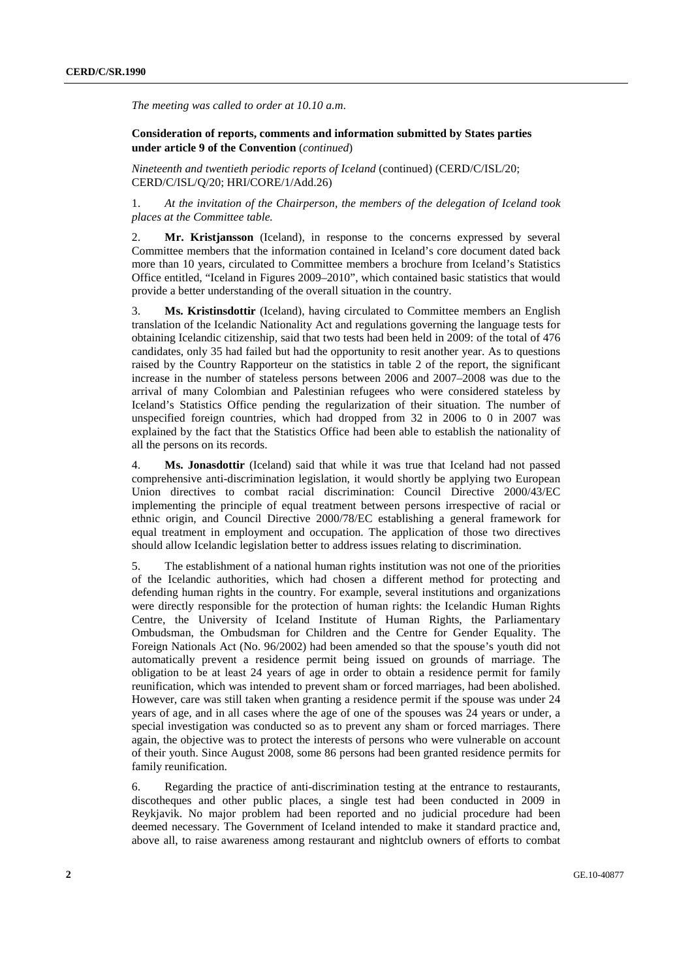*The meeting was called to order at 10.10 a.m*.

## **Consideration of reports, comments and information submitted by States parties under article 9 of the Convention** (*continued*)

*Nineteenth and twentieth periodic reports of Iceland* (continued) (CERD/C/ISL/20; CERD/C/ISL/Q/20; HRI/CORE/1/Add.26)

1. *At the invitation of the Chairperson, the members of the delegation of Iceland took places at the Committee table.* 

2. **Mr. Kristjansson** (Iceland), in response to the concerns expressed by several Committee members that the information contained in Iceland's core document dated back more than 10 years, circulated to Committee members a brochure from Iceland's Statistics Office entitled, "Iceland in Figures 2009–2010", which contained basic statistics that would provide a better understanding of the overall situation in the country.

3. **Ms. Kristinsdottir** (Iceland), having circulated to Committee members an English translation of the Icelandic Nationality Act and regulations governing the language tests for obtaining Icelandic citizenship, said that two tests had been held in 2009: of the total of 476 candidates, only 35 had failed but had the opportunity to resit another year. As to questions raised by the Country Rapporteur on the statistics in table 2 of the report, the significant increase in the number of stateless persons between 2006 and 2007–2008 was due to the arrival of many Colombian and Palestinian refugees who were considered stateless by Iceland's Statistics Office pending the regularization of their situation. The number of unspecified foreign countries, which had dropped from 32 in 2006 to 0 in 2007 was explained by the fact that the Statistics Office had been able to establish the nationality of all the persons on its records.

4. **Ms. Jonasdottir** (Iceland) said that while it was true that Iceland had not passed comprehensive anti-discrimination legislation, it would shortly be applying two European Union directives to combat racial discrimination: Council Directive 2000/43/EC implementing the principle of equal treatment between persons irrespective of racial or ethnic origin, and Council Directive 2000/78/EC establishing a general framework for equal treatment in employment and occupation. The application of those two directives should allow Icelandic legislation better to address issues relating to discrimination.

5. The establishment of a national human rights institution was not one of the priorities of the Icelandic authorities, which had chosen a different method for protecting and defending human rights in the country. For example, several institutions and organizations were directly responsible for the protection of human rights: the Icelandic Human Rights Centre, the University of Iceland Institute of Human Rights, the Parliamentary Ombudsman, the Ombudsman for Children and the Centre for Gender Equality. The Foreign Nationals Act (No. 96/2002) had been amended so that the spouse's youth did not automatically prevent a residence permit being issued on grounds of marriage. The obligation to be at least 24 years of age in order to obtain a residence permit for family reunification, which was intended to prevent sham or forced marriages, had been abolished. However, care was still taken when granting a residence permit if the spouse was under 24 years of age, and in all cases where the age of one of the spouses was 24 years or under, a special investigation was conducted so as to prevent any sham or forced marriages. There again, the objective was to protect the interests of persons who were vulnerable on account of their youth. Since August 2008, some 86 persons had been granted residence permits for family reunification.

6. Regarding the practice of anti-discrimination testing at the entrance to restaurants, discotheques and other public places, a single test had been conducted in 2009 in Reykjavik. No major problem had been reported and no judicial procedure had been deemed necessary. The Government of Iceland intended to make it standard practice and, above all, to raise awareness among restaurant and nightclub owners of efforts to combat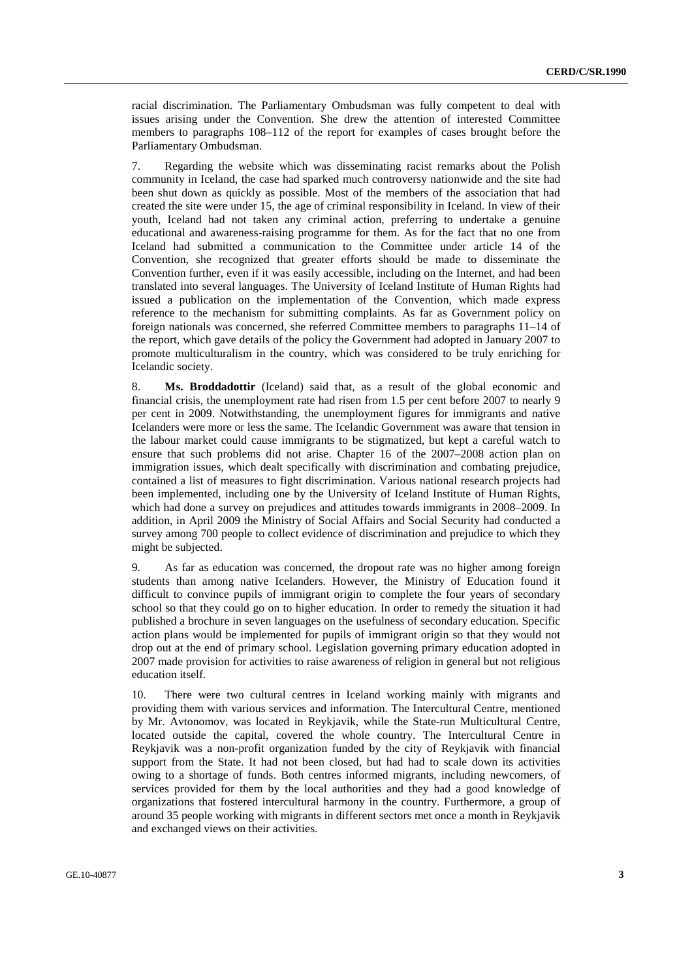racial discrimination. The Parliamentary Ombudsman was fully competent to deal with issues arising under the Convention. She drew the attention of interested Committee members to paragraphs 108–112 of the report for examples of cases brought before the Parliamentary Ombudsman.

7. Regarding the website which was disseminating racist remarks about the Polish community in Iceland, the case had sparked much controversy nationwide and the site had been shut down as quickly as possible. Most of the members of the association that had created the site were under 15, the age of criminal responsibility in Iceland. In view of their youth, Iceland had not taken any criminal action, preferring to undertake a genuine educational and awareness-raising programme for them. As for the fact that no one from Iceland had submitted a communication to the Committee under article 14 of the Convention, she recognized that greater efforts should be made to disseminate the Convention further, even if it was easily accessible, including on the Internet, and had been translated into several languages. The University of Iceland Institute of Human Rights had issued a publication on the implementation of the Convention, which made express reference to the mechanism for submitting complaints. As far as Government policy on foreign nationals was concerned, she referred Committee members to paragraphs 11–14 of the report, which gave details of the policy the Government had adopted in January 2007 to promote multiculturalism in the country, which was considered to be truly enriching for Icelandic society.

8. **Ms. Broddadottir** (Iceland) said that, as a result of the global economic and financial crisis, the unemployment rate had risen from 1.5 per cent before 2007 to nearly 9 per cent in 2009. Notwithstanding, the unemployment figures for immigrants and native Icelanders were more or less the same. The Icelandic Government was aware that tension in the labour market could cause immigrants to be stigmatized, but kept a careful watch to ensure that such problems did not arise. Chapter 16 of the 2007–2008 action plan on immigration issues, which dealt specifically with discrimination and combating prejudice, contained a list of measures to fight discrimination. Various national research projects had been implemented, including one by the University of Iceland Institute of Human Rights, which had done a survey on prejudices and attitudes towards immigrants in 2008–2009. In addition, in April 2009 the Ministry of Social Affairs and Social Security had conducted a survey among 700 people to collect evidence of discrimination and prejudice to which they might be subjected.

9. As far as education was concerned, the dropout rate was no higher among foreign students than among native Icelanders. However, the Ministry of Education found it difficult to convince pupils of immigrant origin to complete the four years of secondary school so that they could go on to higher education. In order to remedy the situation it had published a brochure in seven languages on the usefulness of secondary education. Specific action plans would be implemented for pupils of immigrant origin so that they would not drop out at the end of primary school. Legislation governing primary education adopted in 2007 made provision for activities to raise awareness of religion in general but not religious education itself.

10. There were two cultural centres in Iceland working mainly with migrants and providing them with various services and information. The Intercultural Centre, mentioned by Mr. Avtonomov, was located in Reykjavik, while the State-run Multicultural Centre, located outside the capital, covered the whole country. The Intercultural Centre in Reykjavik was a non-profit organization funded by the city of Reykjavik with financial support from the State. It had not been closed, but had had to scale down its activities owing to a shortage of funds. Both centres informed migrants, including newcomers, of services provided for them by the local authorities and they had a good knowledge of organizations that fostered intercultural harmony in the country. Furthermore, a group of around 35 people working with migrants in different sectors met once a month in Reykjavik and exchanged views on their activities.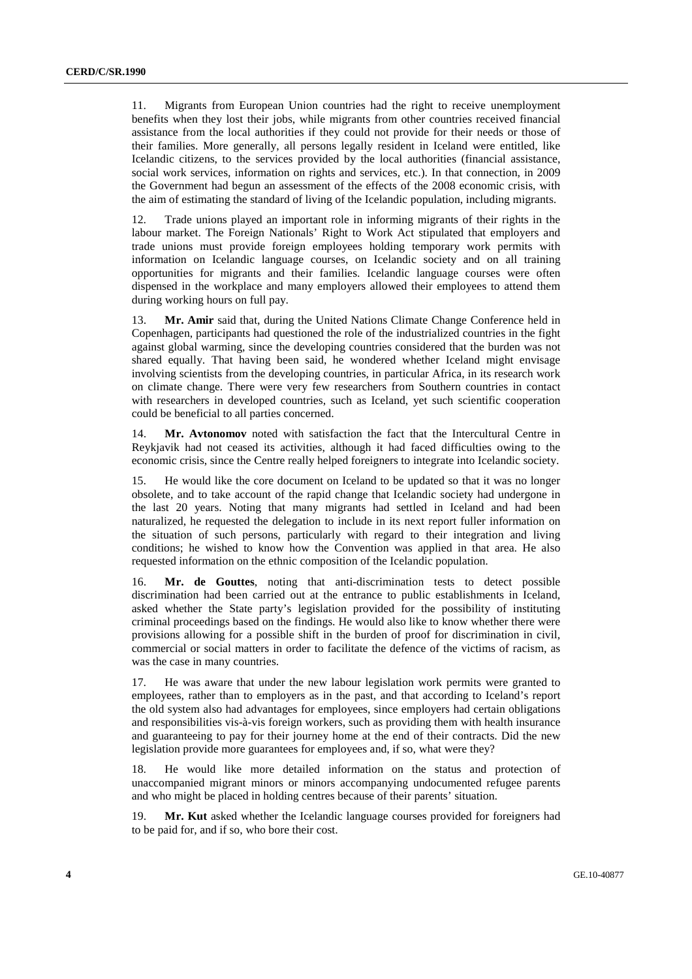11. Migrants from European Union countries had the right to receive unemployment benefits when they lost their jobs, while migrants from other countries received financial assistance from the local authorities if they could not provide for their needs or those of their families. More generally, all persons legally resident in Iceland were entitled, like Icelandic citizens, to the services provided by the local authorities (financial assistance, social work services, information on rights and services, etc.). In that connection, in 2009 the Government had begun an assessment of the effects of the 2008 economic crisis, with the aim of estimating the standard of living of the Icelandic population, including migrants.

12. Trade unions played an important role in informing migrants of their rights in the labour market. The Foreign Nationals' Right to Work Act stipulated that employers and trade unions must provide foreign employees holding temporary work permits with information on Icelandic language courses, on Icelandic society and on all training opportunities for migrants and their families. Icelandic language courses were often dispensed in the workplace and many employers allowed their employees to attend them during working hours on full pay.

13. **Mr. Amir** said that, during the United Nations Climate Change Conference held in Copenhagen, participants had questioned the role of the industrialized countries in the fight against global warming, since the developing countries considered that the burden was not shared equally. That having been said, he wondered whether Iceland might envisage involving scientists from the developing countries, in particular Africa, in its research work on climate change. There were very few researchers from Southern countries in contact with researchers in developed countries, such as Iceland, yet such scientific cooperation could be beneficial to all parties concerned.

14. **Mr. Avtonomov** noted with satisfaction the fact that the Intercultural Centre in Reykjavik had not ceased its activities, although it had faced difficulties owing to the economic crisis, since the Centre really helped foreigners to integrate into Icelandic society.

15. He would like the core document on Iceland to be updated so that it was no longer obsolete, and to take account of the rapid change that Icelandic society had undergone in the last 20 years. Noting that many migrants had settled in Iceland and had been naturalized, he requested the delegation to include in its next report fuller information on the situation of such persons, particularly with regard to their integration and living conditions; he wished to know how the Convention was applied in that area. He also requested information on the ethnic composition of the Icelandic population.

16. **Mr. de Gouttes**, noting that anti-discrimination tests to detect possible discrimination had been carried out at the entrance to public establishments in Iceland, asked whether the State party's legislation provided for the possibility of instituting criminal proceedings based on the findings. He would also like to know whether there were provisions allowing for a possible shift in the burden of proof for discrimination in civil, commercial or social matters in order to facilitate the defence of the victims of racism, as was the case in many countries.

17. He was aware that under the new labour legislation work permits were granted to employees, rather than to employers as in the past, and that according to Iceland's report the old system also had advantages for employees, since employers had certain obligations and responsibilities vis-à-vis foreign workers, such as providing them with health insurance and guaranteeing to pay for their journey home at the end of their contracts. Did the new legislation provide more guarantees for employees and, if so, what were they?

18. He would like more detailed information on the status and protection of unaccompanied migrant minors or minors accompanying undocumented refugee parents and who might be placed in holding centres because of their parents' situation.

19. **Mr. Kut** asked whether the Icelandic language courses provided for foreigners had to be paid for, and if so, who bore their cost.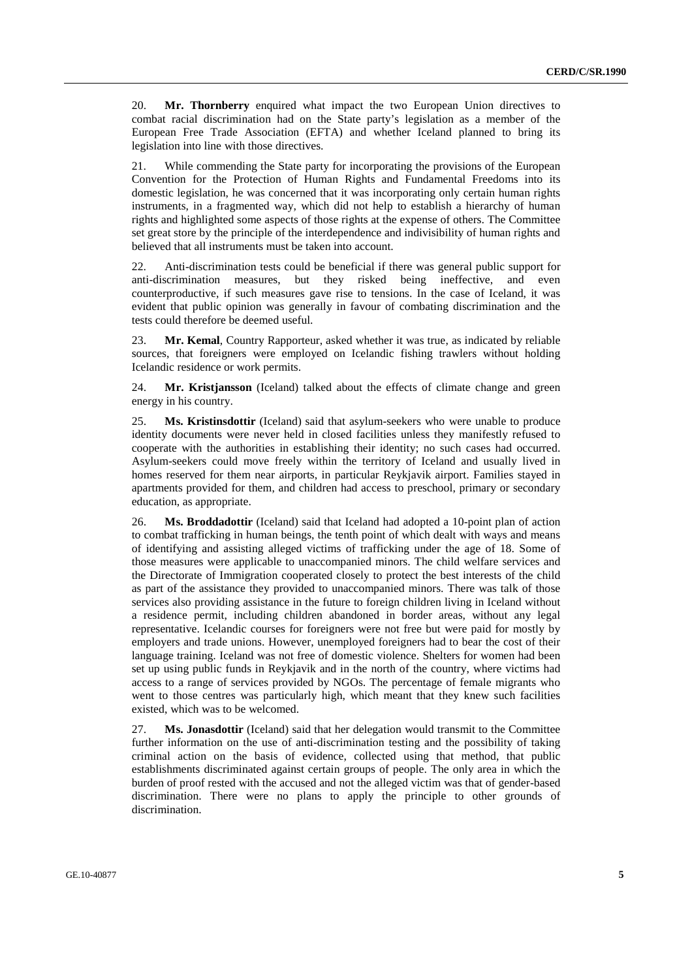20. **Mr. Thornberry** enquired what impact the two European Union directives to combat racial discrimination had on the State party's legislation as a member of the European Free Trade Association (EFTA) and whether Iceland planned to bring its legislation into line with those directives.

21. While commending the State party for incorporating the provisions of the European Convention for the Protection of Human Rights and Fundamental Freedoms into its domestic legislation, he was concerned that it was incorporating only certain human rights instruments, in a fragmented way, which did not help to establish a hierarchy of human rights and highlighted some aspects of those rights at the expense of others. The Committee set great store by the principle of the interdependence and indivisibility of human rights and believed that all instruments must be taken into account.

22. Anti-discrimination tests could be beneficial if there was general public support for anti-discrimination measures, but they risked being ineffective, and even counterproductive, if such measures gave rise to tensions. In the case of Iceland, it was evident that public opinion was generally in favour of combating discrimination and the tests could therefore be deemed useful.

23. **Mr. Kemal**, Country Rapporteur, asked whether it was true, as indicated by reliable sources, that foreigners were employed on Icelandic fishing trawlers without holding Icelandic residence or work permits.

24. **Mr. Kristjansson** (Iceland) talked about the effects of climate change and green energy in his country.

25. **Ms. Kristinsdottir** (Iceland) said that asylum-seekers who were unable to produce identity documents were never held in closed facilities unless they manifestly refused to cooperate with the authorities in establishing their identity; no such cases had occurred. Asylum-seekers could move freely within the territory of Iceland and usually lived in homes reserved for them near airports, in particular Reykjavik airport. Families stayed in apartments provided for them, and children had access to preschool, primary or secondary education, as appropriate.

26. **Ms. Broddadottir** (Iceland) said that Iceland had adopted a 10-point plan of action to combat trafficking in human beings, the tenth point of which dealt with ways and means of identifying and assisting alleged victims of trafficking under the age of 18. Some of those measures were applicable to unaccompanied minors. The child welfare services and the Directorate of Immigration cooperated closely to protect the best interests of the child as part of the assistance they provided to unaccompanied minors. There was talk of those services also providing assistance in the future to foreign children living in Iceland without a residence permit, including children abandoned in border areas, without any legal representative. Icelandic courses for foreigners were not free but were paid for mostly by employers and trade unions. However, unemployed foreigners had to bear the cost of their language training. Iceland was not free of domestic violence. Shelters for women had been set up using public funds in Reykjavik and in the north of the country, where victims had access to a range of services provided by NGOs. The percentage of female migrants who went to those centres was particularly high, which meant that they knew such facilities existed, which was to be welcomed.

27. **Ms. Jonasdottir** (Iceland) said that her delegation would transmit to the Committee further information on the use of anti-discrimination testing and the possibility of taking criminal action on the basis of evidence, collected using that method, that public establishments discriminated against certain groups of people. The only area in which the burden of proof rested with the accused and not the alleged victim was that of gender-based discrimination. There were no plans to apply the principle to other grounds of discrimination.